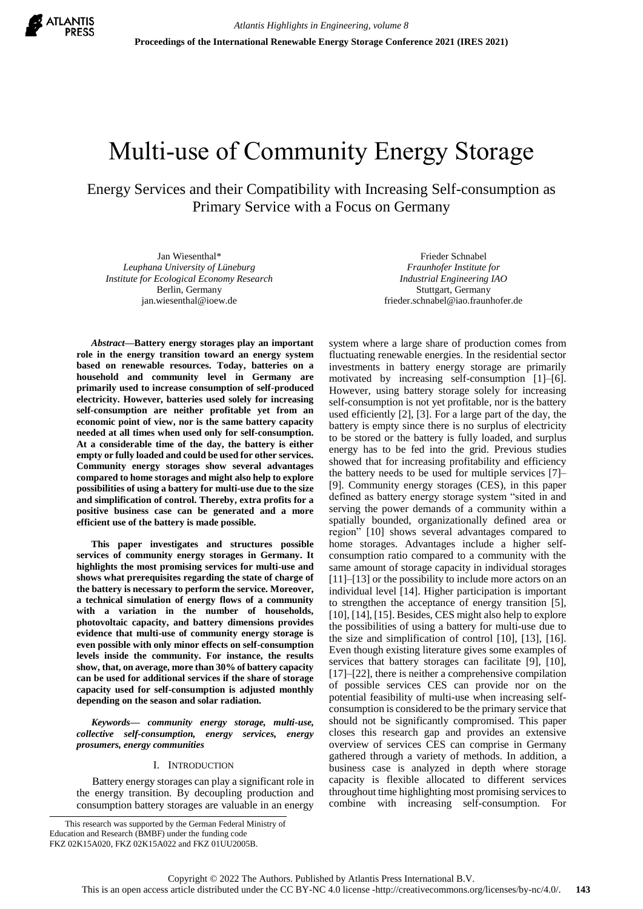

# Multi-use of Community Energy Storage

Energy Services and their Compatibility with Increasing Self-consumption as Primary Service with a Focus on Germany

Jan Wiesenthal\* *Leuphana University of Lüneburg Institute for Ecological Economy Research* Berlin, Germany jan.wiesenthal@ioew.de

Frieder Schnabel *Fraunhofer Institute for Industrial Engineering IAO* Stuttgart, Germany frieder.schnabel@iao.fraunhofer.de

system where a large share of production comes from

*Abstract***—Battery energy storages play an important role in the energy transition toward an energy system based on renewable resources. Today, batteries on a household and community level in Germany are primarily used to increase consumption of self-produced electricity. However, batteries used solely for increasing self-consumption are neither profitable yet from an economic point of view, nor is the same battery capacity needed at all times when used only for self-consumption. At a considerable time of the day, the battery is either empty or fully loaded and could be used for other services. Community energy storages show several advantages compared to home storages and might also help to explore possibilities of using a battery for multi-use due to the size and simplification of control. Thereby, extra profits for a positive business case can be generated and a more efficient use of the battery is made possible.**

**This paper investigates and structures possible services of community energy storages in Germany. It highlights the most promising services for multi-use and shows what prerequisites regarding the state of charge of the battery is necessary to perform the service. Moreover, a technical simulation of energy flows of a community with a variation in the number of households, photovoltaic capacity, and battery dimensions provides evidence that multi-use of community energy storage is even possible with only minor effects on self-consumption levels inside the community. For instance, the results show, that, on average, more than 30% of battery capacity can be used for additional services if the share of storage capacity used for self-consumption is adjusted monthly depending on the season and solar radiation.**

*Keywords— community energy storage, multi-use, collective self-consumption, energy services, energy prosumers, energy communities*

## I. INTRODUCTION

Battery energy storages can play a significant role in the energy transition. By decoupling production and consumption battery storages are valuable in an energy

This research was supported by the German Federal Ministry of Education and Research (BMBF) under the funding code FKZ 02K15A020, FKZ 02K15A022 and FKZ 01UU2005B.

fluctuating renewable energies. In the residential sector investments in battery energy storage are primarily motivated by increasing self-consumption [1]–[6]. However, using battery storage solely for increasing self-consumption is not yet profitable, nor is the battery used efficiently [2], [3]. For a large part of the day, the battery is empty since there is no surplus of electricity to be stored or the battery is fully loaded, and surplus energy has to be fed into the grid. Previous studies showed that for increasing profitability and efficiency the battery needs to be used for multiple services [7]– [9]. Community energy storages (CES), in this paper defined as battery energy storage system "sited in and serving the power demands of a community within a spatially bounded, organizationally defined area or region" [10] shows several advantages compared to home storages. Advantages include a higher selfconsumption ratio compared to a community with the same amount of storage capacity in individual storages [11]–[13] or the possibility to include more actors on an individual level [14]. Higher participation is important to strengthen the acceptance of energy transition [5], [10], [14], [15]. Besides, CES might also help to explore the possibilities of using a battery for multi-use due to the size and simplification of control [10], [13], [16]. Even though existing literature gives some examples of services that battery storages can facilitate [9], [10], [17]–[22], there is neither a comprehensive compilation of possible services CES can provide nor on the potential feasibility of multi-use when increasing selfconsumption is considered to be the primary service that should not be significantly compromised. This paper closes this research gap and provides an extensive overview of services CES can comprise in Germany gathered through a variety of methods. In addition, a business case is analyzed in depth where storage capacity is flexible allocated to different services throughout time highlighting most promising services to combine with increasing self-consumption. For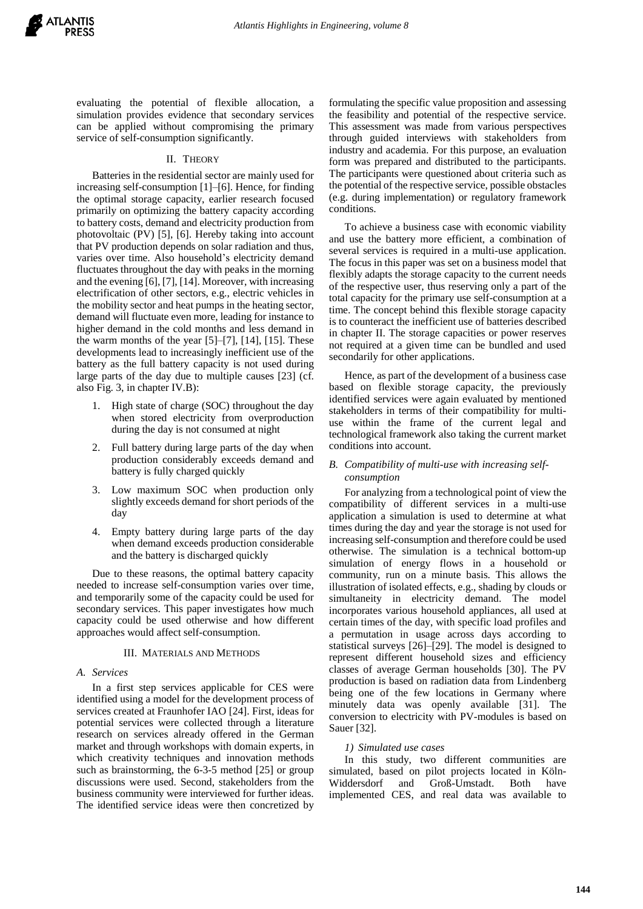evaluating the potential of flexible allocation, a simulation provides evidence that secondary services can be applied without compromising the primary service of self-consumption significantly.

#### II. THEORY

<span id="page-1-3"></span>Batteries in the residential sector are mainly used for increasing self-consumption [1]–[6]. Hence, for finding the optimal storage capacity, earlier research focused primarily on optimizing the battery capacity according to battery costs, demand and electricity production from photovoltaic (PV) [5], [6]. Hereby taking into account that PV production depends on solar radiation and thus, varies over time. Also household's electricity demand fluctuates throughout the day with peaks in the morning and the evening [6], [7], [14]. Moreover, with increasing electrification of other sectors, e.g., electric vehicles in the mobility sector and heat pumps in the heating sector, demand will fluctuate even more, leading for instance to higher demand in the cold months and less demand in the warm months of the year  $[5]$ – $[7]$ ,  $[14]$ ,  $[15]$ . These developments lead to increasingly inefficient use of the battery as the full battery capacity is not used during large parts of the day due to multiple causes [23] (cf. also [Fig. 3,](#page-5-0) in chapter [IV.B\)](#page-4-0):

- 1. High state of charge (SOC) throughout the day when stored electricity from overproduction during the day is not consumed at night
- 2. Full battery during large parts of the day when production considerably exceeds demand and battery is fully charged quickly
- 3. Low maximum SOC when production only slightly exceeds demand for short periods of the day
- 4. Empty battery during large parts of the day when demand exceeds production considerable and the battery is discharged quickly

Due to these reasons, the optimal battery capacity needed to increase self-consumption varies over time, and temporarily some of the capacity could be used for secondary services. This paper investigates how much capacity could be used otherwise and how different approaches would affect self-consumption.

#### III. MATERIALS AND METHODS

#### <span id="page-1-0"></span>*A. Services*

In a first step services applicable for CES were identified using a model for the development process of services created at Fraunhofer IAO [24]. First, ideas for potential services were collected through a literature research on services already offered in the German market and through workshops with domain experts, in which creativity techniques and innovation methods such as brainstorming, the 6-3-5 method [25] or group discussions were used. Second, stakeholders from the business community were interviewed for further ideas. The identified service ideas were then concretized by formulating the specific value proposition and assessing the feasibility and potential of the respective service. This assessment was made from various perspectives through guided interviews with stakeholders from industry and academia. For this purpose, an evaluation form was prepared and distributed to the participants. The participants were questioned about criteria such as the potential of the respective service, possible obstacles (e.g. during implementation) or regulatory framework conditions.

To achieve a business case with economic viability and use the battery more efficient, a combination of several services is required in a multi-use application. The focus in this paper was set on a business model that flexibly adapts the storage capacity to the current needs of the respective user, thus reserving only a part of the total capacity for the primary use self-consumption at a time. The concept behind this flexible storage capacity is to counteract the inefficient use of batteries described in chapter II. The storage capacities or power reserves not required at a given time can be bundled and used secondarily for other applications.

Hence, as part of the development of a business case based on flexible storage capacity, the previously identified services were again evaluated by mentioned stakeholders in terms of their compatibility for multiuse within the frame of the current legal and technological framework also taking the current market conditions into account.

#### <span id="page-1-2"></span>*B. Compatibility of multi-use with increasing selfconsumption*

For analyzing from a technological point of view the compatibility of different services in a multi-use application a simulation is used to determine at what times during the day and year the storage is not used for increasing self-consumption and therefore could be used otherwise. The simulation is a technical bottom-up simulation of energy flows in a household or community, run on a minute basis. This allows the illustration of isolated effects, e.g., shading by clouds or simultaneity in electricity demand. The model incorporates various household appliances, all used at certain times of the day, with specific load profiles and a permutation in usage across days according to statistical surveys [26]–[29]. The model is designed to represent different household sizes and efficiency classes of average German households [30]. The PV production is based on radiation data from Lindenberg being one of the few locations in Germany where minutely data was openly available [31]. The conversion to electricity with PV-modules is based on Sauer [32].

## *1) Simulated use cases*

<span id="page-1-1"></span>In this study, two different communities are simulated, based on pilot projects located in Köln-Widdersdorf and Groß-Umstadt. Both have implemented CES, and real data was available to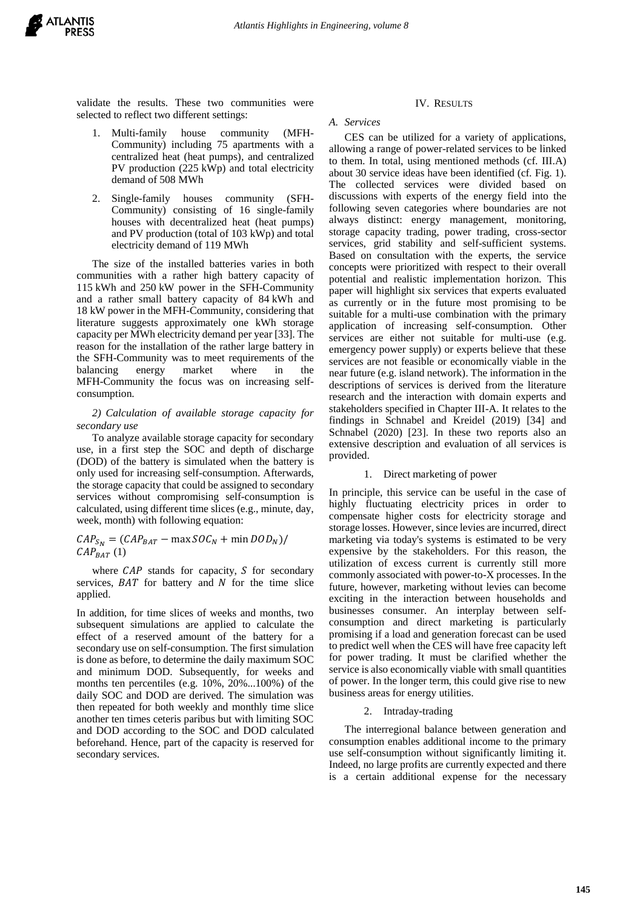

validate the results. These two communities were selected to reflect two different settings:

- 1. Multi-family house community (MFH-Community) including 75 apartments with a centralized heat (heat pumps), and centralized PV production (225 kWp) and total electricity demand of 508 MWh
- 2. Single-family houses community (SFH-Community) consisting of 16 single-family houses with decentralized heat (heat pumps) and PV production (total of 103 kWp) and total electricity demand of 119 MWh

The size of the installed batteries varies in both communities with a rather high battery capacity of 115 kWh and 250 kW power in the SFH-Community and a rather small battery capacity of 84 kWh and 18 kW power in the MFH-Community, considering that literature suggests approximately one kWh storage capacity per MWh electricity demand per year [33]. The reason for the installation of the rather large battery in the SFH-Community was to meet requirements of the balancing energy market where in the MFH-Community the focus was on increasing selfconsumption.

## <span id="page-2-1"></span>*2) Calculation of available storage capacity for secondary use*

To analyze available storage capacity for secondary use, in a first step the SOC and depth of discharge (DOD) of the battery is simulated when the battery is only used for increasing self-consumption. Afterwards, the storage capacity that could be assigned to secondary services without compromising self-consumption is calculated, using different time slices (e.g., minute, day, week, month) with following equation:

 $CAP_{S_N} = (CAP_{BAT} - \max SOC_N + \min DOD_N)$ /  $CAP_{BAT} (1)$ 

where  $CAP$  stands for capacity,  $S$  for secondary services,  $BAT$  for battery and  $N$  for the time slice applied.

In addition, for time slices of weeks and months, two subsequent simulations are applied to calculate the effect of a reserved amount of the battery for a secondary use on self-consumption. The first simulation is done as before, to determine the daily maximum SOC and minimum DOD. Subsequently, for weeks and months ten percentiles (e.g. 10%, 20%...100%) of the daily SOC and DOD are derived. The simulation was then repeated for both weekly and monthly time slice another ten times ceteris paribus but with limiting SOC and DOD according to the SOC and DOD calculated beforehand. Hence, part of the capacity is reserved for secondary services.

## IV. RESULTS

#### <span id="page-2-0"></span>*A. Services*

CES can be utilized for a variety of applications, allowing a range of power-related services to be linked to them. In total, using mentioned methods (cf. [III.A\)](#page-1-0) about 30 service ideas have been identified (cf. [Fig. 1\)](#page-3-0). The collected services were divided based on discussions with experts of the energy field into the following seven categories where boundaries are not always distinct: energy management, monitoring, storage capacity trading, power trading, cross-sector services, grid stability and self-sufficient systems. Based on consultation with the experts, the service concepts were prioritized with respect to their overall potential and realistic implementation horizon. This paper will highlight six services that experts evaluated as currently or in the future most promising to be suitable for a multi-use combination with the primary application of increasing self-consumption. Other services are either not suitable for multi-use (e.g. emergency power supply) or experts believe that these services are not feasible or economically viable in the near future (e.g. island network). The information in the descriptions of services is derived from the literature research and the interaction with domain experts and stakeholders specified in Chapter III-A. It relates to the findings in Schnabel and Kreidel (2019) [34] and Schnabel (2020) [23]. In these two reports also an extensive description and evaluation of all services is provided.

## 1. Direct marketing of power

In principle, this service can be useful in the case of highly fluctuating electricity prices in order to compensate higher costs for electricity storage and storage losses. However, since levies are incurred, direct marketing via today's systems is estimated to be very expensive by the stakeholders. For this reason, the utilization of excess current is currently still more commonly associated with power-to-X processes. In the future, however, marketing without levies can become exciting in the interaction between households and businesses consumer. An interplay between selfconsumption and direct marketing is particularly promising if a load and generation forecast can be used to predict well when the CES will have free capacity left for power trading. It must be clarified whether the service is also economically viable with small quantities of power. In the longer term, this could give rise to new business areas for energy utilities.

## 2. Intraday-trading

The interregional balance between generation and consumption enables additional income to the primary use self-consumption without significantly limiting it. Indeed, no large profits are currently expected and there is a certain additional expense for the necessary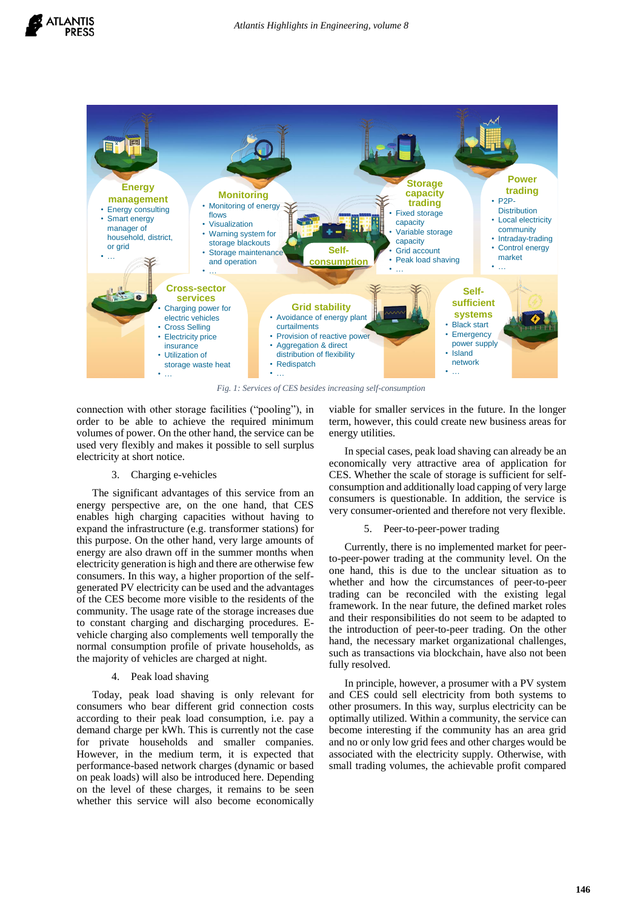

*Fig. 1: Services of CES besides increasing self-consumption*

<span id="page-3-0"></span>connection with other storage facilities ("pooling"), in order to be able to achieve the required minimum volumes of power. On the other hand, the service can be used very flexibly and makes it possible to sell surplus electricity at short notice.

#### 3. Charging e-vehicles

The significant advantages of this service from an energy perspective are, on the one hand, that CES enables high charging capacities without having to expand the infrastructure (e.g. transformer stations) for this purpose. On the other hand, very large amounts of energy are also drawn off in the summer months when electricity generation is high and there are otherwise few consumers. In this way, a higher proportion of the selfgenerated PV electricity can be used and the advantages of the CES become more visible to the residents of the community. The usage rate of the storage increases due to constant charging and discharging procedures. Evehicle charging also complements well temporally the normal consumption profile of private households, as the majority of vehicles are charged at night.

#### 4. Peak load shaving

Today, peak load shaving is only relevant for consumers who bear different grid connection costs according to their peak load consumption, i.e. pay a demand charge per kWh. This is currently not the case for private households and smaller companies. However, in the medium term, it is expected that performance-based network charges (dynamic or based on peak loads) will also be introduced here. Depending on the level of these charges, it remains to be seen whether this service will also become economically viable for smaller services in the future. In the longer term, however, this could create new business areas for energy utilities.

In special cases, peak load shaving can already be an economically very attractive area of application for CES. Whether the scale of storage is sufficient for selfconsumption and additionally load capping of very large consumers is questionable. In addition, the service is very consumer-oriented and therefore not very flexible.

#### 5. Peer-to-peer-power trading

Currently, there is no implemented market for peerto-peer-power trading at the community level. On the one hand, this is due to the unclear situation as to whether and how the circumstances of peer-to-peer trading can be reconciled with the existing legal framework. In the near future, the defined market roles and their responsibilities do not seem to be adapted to the introduction of peer-to-peer trading. On the other hand, the necessary market organizational challenges, such as transactions via blockchain, have also not been fully resolved.

In principle, however, a prosumer with a PV system and CES could sell electricity from both systems to other prosumers. In this way, surplus electricity can be optimally utilized. Within a community, the service can become interesting if the community has an area grid and no or only low grid fees and other charges would be associated with the electricity supply. Otherwise, with small trading volumes, the achievable profit compared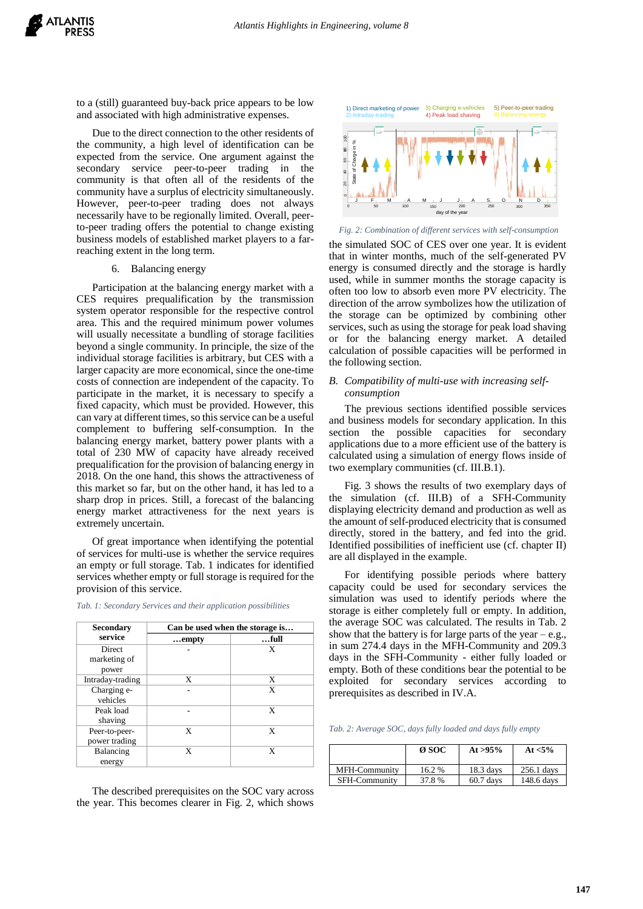to a (still) guaranteed buy-back price appears to be low and associated with high administrative expenses.

Due to the direct connection to the other residents of the community, a high level of identification can be expected from the service. One argument against the secondary service peer-to-peer trading in the community is that often all of the residents of the community have a surplus of electricity simultaneously. However, peer-to-peer trading does not always necessarily have to be regionally limited. Overall, peerto-peer trading offers the potential to change existing business models of established market players to a farreaching extent in the long term.

## 6. Balancing energy

Participation at the balancing energy market with a CES requires prequalification by the transmission system operator responsible for the respective control area. This and the required minimum power volumes will usually necessitate a bundling of storage facilities beyond a single community. In principle, the size of the individual storage facilities is arbitrary, but CES with a larger capacity are more economical, since the one-time costs of connection are independent of the capacity. To participate in the market, it is necessary to specify a fixed capacity, which must be provided. However, this can vary at different times, so this service can be a useful complement to buffering self-consumption. In the balancing energy market, battery power plants with a total of 230 MW of capacity have already received prequalification for the provision of balancing energy in 2018. On the one hand, this shows the attractiveness of this market so far, but on the other hand, it has led to a sharp drop in prices. Still, a forecast of the balancing energy market attractiveness for the next years is extremely uncertain.

Of great importance when identifying the potential of services for multi-use is whether the service requires an empty or full storage. [Tab. 1](#page-4-1) indicates for identified services whether empty or full storage is required for the provision of this service.

| <b>Secondary</b>                       | Can be used when the storage is |      |  |
|----------------------------------------|---------------------------------|------|--|
| service                                | empty                           | full |  |
| <b>Direct</b><br>marketing of<br>power |                                 | X    |  |
| Intraday-trading                       | X                               | X    |  |
| Charging e-<br>vehicles                |                                 | X    |  |
| Peak load<br>shaving                   |                                 | X    |  |
| Peer-to-peer-<br>power trading         | X                               | X    |  |
| Balancing<br>energy                    | X                               | X    |  |

<span id="page-4-1"></span>*Tab. 1: Secondary Services and their application possibilities*

The described prerequisites on the SOC vary across the year. This becomes clearer in [Fig. 2,](#page-4-2) which shows



<span id="page-4-2"></span>*Fig. 2: Combination of different services with self-consumption*

the simulated SOC of CES over one year. It is evident that in winter months, much of the self-generated PV energy is consumed directly and the storage is hardly used, while in summer months the storage capacity is often too low to absorb even more PV electricity. The direction of the arrow symbolizes how the utilization of the storage can be optimized by combining other services, such as using the storage for peak load shaving or for the balancing energy market. A detailed calculation of possible capacities will be performed in the following section.

## <span id="page-4-0"></span>*B. Compatibility of multi-use with increasing selfconsumption*

The previous sections identified possible services and business models for secondary application. In this section the possible capacities for secondary applications due to a more efficient use of the battery is calculated using a simulation of energy flows inside of two exemplary communities (cf[. III.B.1\).](#page-1-1)

[Fig. 3](#page-5-0) shows the results of two exemplary days of the simulation (cf. [III.B\)](#page-1-2) of a SFH-Community displaying electricity demand and production as well as the amount of self-produced electricity that is consumed directly, stored in the battery, and fed into the grid. Identified possibilities of inefficient use (cf. chapter [II\)](#page-1-3) are all displayed in the example.

For identifying possible periods where battery capacity could be used for secondary services the simulation was used to identify periods where the storage is either completely full or empty. In addition, the average SOC was calculated. The results in [Tab. 2](#page-4-3) show that the battery is for large parts of the year – e.g., in sum 274.4 days in the MFH-Community and 209.3 days in the SFH-Community - either fully loaded or empty. Both of these conditions bear the potential to be exploited for secondary services according to prerequisites as described i[n IV.A.](#page-2-0)

<span id="page-4-3"></span>*Tab. 2: Average SOC, days fully loaded and days fully empty*

|                      | Ø SOC | At $>95\%$  | At $< 5\%$ |
|----------------------|-------|-------------|------------|
| MFH-Community        | 16.2% | $18.3$ days | 256.1 days |
| <b>SFH-Community</b> | 37.8% | $60.7$ days | 148.6 days |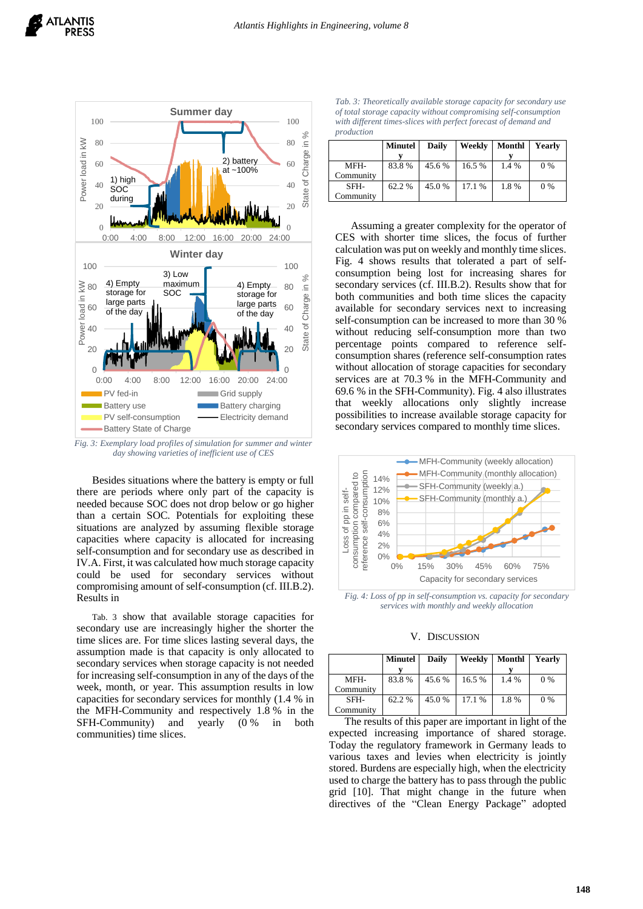

<span id="page-5-0"></span>*Fig. 3: Exemplary load profiles of simulation for summer and winter day showing varieties of inefficient use of CES*

Besides situations where the battery is empty or full there are periods where only part of the capacity is needed because SOC does not drop below or go higher than a certain SOC. Potentials for exploiting these situations are analyzed by assuming flexible storage capacities where capacity is allocated for increasing self-consumption and for secondary use as described in [IV.A.](#page-2-0) First, it was calculated how much storage capacity could be used for secondary services without compromising amount of self-consumption (cf[. III.B.2\).](#page-2-1) Results i[n](#page-5-1) 

[Tab. 3](#page-5-1) show that available storage capacities for secondary use are increasingly higher the shorter the time slices are. For time slices lasting several days, the assumption made is that capacity is only allocated to secondary services when storage capacity is not needed for increasing self-consumption in any of the days of the week, month, or year. This assumption results in low capacities for secondary services for monthly (1.4 % in the MFH-Community and respectively 1.8 % in the SFH-Community) and yearly (0 % in both communities) time slices.

*Tab. 3: Theoretically available storage capacity for secondary use of total storage capacity without compromising self-consumption with different times-slices with perfect forecast of demand and production*

<span id="page-5-1"></span>

|           | <b>Minutel</b> | Daily  | Weekly | Monthl | Yearly |
|-----------|----------------|--------|--------|--------|--------|
|           |                |        |        |        |        |
| MFH-      | 83.8%          | 45.6 % | 16.5 % | 1.4 %  | 0 %    |
| Community |                |        |        |        |        |
| SFH-      | 62.2 %         | 45.0 % | 17.1 % | 1.8%   | 0 %    |
| Communitv |                |        |        |        |        |

Assuming a greater complexity for the operator of CES with shorter time slices, the focus of further calculation was put on weekly and monthly time slices. [Fig. 4](#page-5-2) shows results that tolerated a part of selfconsumption being lost for increasing shares for secondary services (cf. [III.B.2\).](#page-2-1) Results show that for both communities and both time slices the capacity available for secondary services next to increasing self-consumption can be increased to more than 30 % without reducing self-consumption more than two percentage points compared to reference selfconsumption shares (reference self-consumption rates without allocation of storage capacities for secondary services are at 70.3 % in the MFH-Community and 69.6 % in the SFH-Community). [Fig. 4](#page-5-2) also illustrates that weekly allocations only slightly increase possibilities to increase available storage capacity for secondary services compared to monthly time slices.



<span id="page-5-2"></span>*Fig. 4: Loss of pp in self-consumption vs. capacity for secondary services with monthly and weekly allocation*

V. DISCUSSION

|           | <b>Minutel</b> | <b>Daily</b> | Weekly | Monthl | Yearly |
|-----------|----------------|--------------|--------|--------|--------|
|           |                |              |        |        |        |
| MFH-      | 83.8%          | 45.6 %       | 16.5 % | 1.4 %  | 0 %    |
| Community |                |              |        |        |        |
| SFH-      | 62.2 %         | 45.0%        | 17.1 % | 1.8%   | 0 %    |
| Community |                |              |        |        |        |

The results of this paper are important in light of the expected increasing importance of shared storage. Today the regulatory framework in Germany leads to various taxes and levies when electricity is jointly stored. Burdens are especially high, when the electricity used to charge the battery has to pass through the public grid [10]. That might change in the future when directives of the "Clean Energy Package" adopted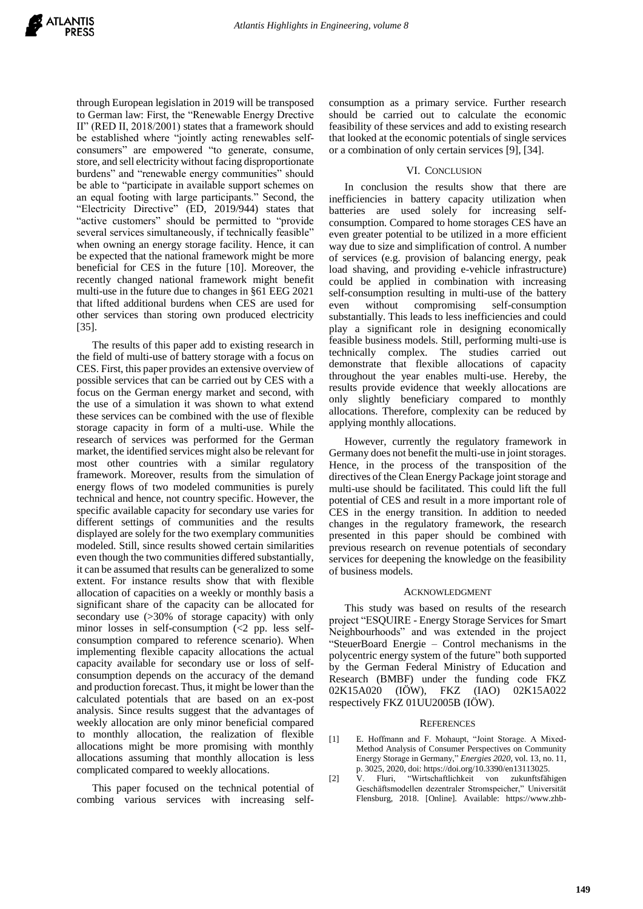through European legislation in 2019 will be transposed to German law: First, the "Renewable Energy Drective II" (RED II, 2018/2001) states that a framework should be established where "jointly acting renewables selfconsumers" are empowered "to generate, consume, store, and sell electricity without facing disproportionate burdens" and "renewable energy communities" should be able to "participate in available support schemes on an equal footing with large participants." Second, the "Electricity Directive" (ED, 2019/944) states that "active customers" should be permitted to "provide several services simultaneously, if technically feasible" when owning an energy storage facility. Hence, it can be expected that the national framework might be more beneficial for CES in the future [10]. Moreover, the recently changed national framework might benefit multi-use in the future due to changes in §61 EEG 2021 that lifted additional burdens when CES are used for other services than storing own produced electricity [35].

The results of this paper add to existing research in the field of multi-use of battery storage with a focus on CES. First, this paper provides an extensive overview of possible services that can be carried out by CES with a focus on the German energy market and second, with the use of a simulation it was shown to what extend these services can be combined with the use of flexible storage capacity in form of a multi-use. While the research of services was performed for the German market, the identified services might also be relevant for most other countries with a similar regulatory framework. Moreover, results from the simulation of energy flows of two modeled communities is purely technical and hence, not country specific. However, the specific available capacity for secondary use varies for different settings of communities and the results displayed are solely for the two exemplary communities modeled. Still, since results showed certain similarities even though the two communities differed substantially, it can be assumed that results can be generalized to some extent. For instance results show that with flexible allocation of capacities on a weekly or monthly basis a significant share of the capacity can be allocated for secondary use (>30% of storage capacity) with only minor losses in self-consumption  $\ll$  pp. less selfconsumption compared to reference scenario). When implementing flexible capacity allocations the actual capacity available for secondary use or loss of selfconsumption depends on the accuracy of the demand and production forecast. Thus, it might be lower than the calculated potentials that are based on an ex-post analysis. Since results suggest that the advantages of weekly allocation are only minor beneficial compared to monthly allocation, the realization of flexible allocations might be more promising with monthly allocations assuming that monthly allocation is less complicated compared to weekly allocations.

This paper focused on the technical potential of combing various services with increasing selfconsumption as a primary service. Further research should be carried out to calculate the economic feasibility of these services and add to existing research that looked at the economic potentials of single services or a combination of only certain services [9], [34].

## VI. CONCLUSION

In conclusion the results show that there are inefficiencies in battery capacity utilization when batteries are used solely for increasing selfconsumption. Compared to home storages CES have an even greater potential to be utilized in a more efficient way due to size and simplification of control. A number of services (e.g. provision of balancing energy, peak load shaving, and providing e-vehicle infrastructure) could be applied in combination with increasing self-consumption resulting in multi-use of the battery even without compromising self-consumption substantially. This leads to less inefficiencies and could play a significant role in designing economically feasible business models. Still, performing multi-use is technically complex. The studies carried out demonstrate that flexible allocations of capacity throughout the year enables multi-use. Hereby, the results provide evidence that weekly allocations are only slightly beneficiary compared to monthly allocations. Therefore, complexity can be reduced by applying monthly allocations.

However, currently the regulatory framework in Germany does not benefit the multi-use in joint storages. Hence, in the process of the transposition of the directives of the Clean Energy Package joint storage and multi-use should be facilitated. This could lift the full potential of CES and result in a more important role of CES in the energy transition. In addition to needed changes in the regulatory framework, the research presented in this paper should be combined with previous research on revenue potentials of secondary services for deepening the knowledge on the feasibility of business models.

## ACKNOWLEDGMENT

This study was based on results of the research project "ESQUIRE - Energy Storage Services for Smart Neighbourhoods" and was extended in the project "SteuerBoard Energie – Control mechanisms in the polycentric energy system of the future" both supported by the German Federal Ministry of Education and Research (BMBF) under the funding code FKZ 02K15A020 (IÖW), FKZ (IAO) 02K15A022 respectively FKZ 01UU2005B (IÖW).

#### **REFERENCES**

- [1] E. Hoffmann and F. Mohaupt, "Joint Storage. A Mixed-Method Analysis of Consumer Perspectives on Community Energy Storage in Germany," *Energies 2020*, vol. 13, no. 11, p. 3025, 2020, doi: https://doi.org/10.3390/en13113025.
- [2] V. Fluri, "Wirtschaftlichkeit von zukunftsfähigen Geschäftsmodellen dezentraler Stromspeicher," Universität Flensburg, 2018. [Online]. Available: https://www.zhb-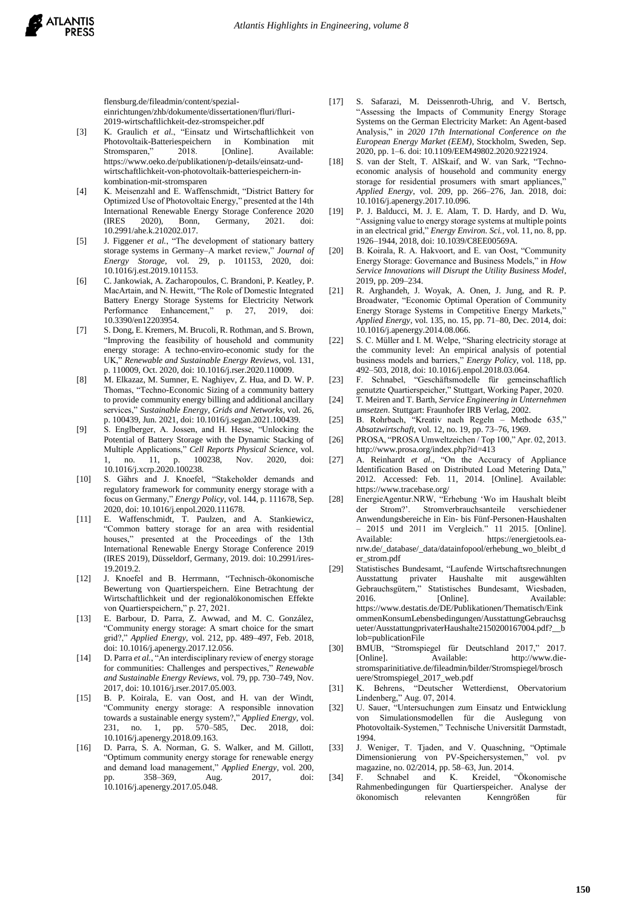flensburg.de/fileadmin/content/spezialeinrichtungen/zhb/dokumente/dissertationen/fluri/fluri-2019-wirtschaftlichkeit-dez-stromspeicher.pdf

- [3] K. Graulich *et al.*, "Einsatz und Wirtschaftlichkeit von Photovoltaik-Batteriespeichern in Kombination mit Stromsparen," 2018. [Online]. https://www.oeko.de/publikationen/p-details/einsatz-undwirtschaftlichkeit-von-photovoltaik-batteriespeichern-inkombination-mit-stromsparen
- [4] K. Meisenzahl and E. Waffenschmidt, "District Battery for Optimized Use of Photovoltaic Energy," presented at the 14th International Renewable Energy Storage Conference 2020 (IRES 2020), Bonn, Germany, 2021. doi: 10.2991/ahe.k.210202.017.
- [5] J. Figgener *et al.*, "The development of stationary battery storage systems in Germany–A market review," *Journal of Energy Storage*, vol. 29, p. 101153, 2020, doi: 10.1016/j.est.2019.101153.
- [6] C. Jankowiak, A. Zacharopoulos, C. Brandoni, P. Keatley, P. MacArtain, and N. Hewitt, "The Role of Domestic Integrated Battery Energy Storage Systems for Electricity Network Performance Enhancement," p. 27, 2019, doi: 10.3390/en12203954.
- [7] S. Dong, E. Kremers, M. Brucoli, R. Rothman, and S. Brown, "Improving the feasibility of household and community energy storage: A techno-enviro-economic study for the UK," *Renewable and Sustainable Energy Reviews*, vol. 131, p. 110009, Oct. 2020, doi: 10.1016/j.rser.2020.110009.
- [8] M. Elkazaz, M. Sumner, E. Naghiyev, Z. Hua, and D. W. P. Thomas, "Techno-Economic Sizing of a community battery to provide community energy billing and additional ancillary services," *Sustainable Energy, Grids and Networks*, vol. 26, p. 100439, Jun. 2021, doi: 10.1016/j.segan.2021.100439.
- [9] S. Englberger, A. Jossen, and H. Hesse, "Unlocking the Potential of Battery Storage with the Dynamic Stacking of Multiple Applications," *Cell Reports Physical Science*, vol. 1, no. 11, p. 100238, Nov. 2020, doi: 10.1016/j.xcrp.2020.100238.
- [10] S. Gährs and J. Knoefel, "Stakeholder demands and regulatory framework for community energy storage with a focus on Germany," *Energy Policy*, vol. 144, p. 111678, Sep. 2020, doi: 10.1016/j.enpol.2020.111678.
- [11] E. Waffenschmidt, T. Paulzen, and A. Stankiewicz, "Common battery storage for an area with residential houses," presented at the Proceedings of the 13th International Renewable Energy Storage Conference 2019 (IRES 2019), Düsseldorf, Germany, 2019. doi: 10.2991/ires-19.2019.2.
- [12] J. Knoefel and B. Herrmann, "Technisch-ökonomische Bewertung von Quartierspeichern. Eine Betrachtung der Wirtschaftlichkeit und der regionalökonomischen Effekte von Quartierspeichern," p. 27, 2021.
- [13] E. Barbour, D. Parra, Z. Awwad, and M. C. González, "Community energy storage: A smart choice for the smart grid?," *Applied Energy*, vol. 212, pp. 489–497, Feb. 2018, doi: 10.1016/j.apenergy.2017.12.056.
- [14] D. Parra et al., "An interdisciplinary review of energy storage for communities: Challenges and perspectives," *Renewable and Sustainable Energy Reviews*, vol. 79, pp. 730–749, Nov. 2017, doi: 10.1016/j.rser.2017.05.003.
- [15] B. P. Koirala, E. van Oost, and H. van der Windt, "Community energy storage: A responsible innovation towards a sustainable energy system?," *Applied Energy*, vol. 570–585, Dec. 2018, doi: 10.1016/j.apenergy.2018.09.163.
- [16] D. Parra, S. A. Norman, G. S. Walker, and M. Gillott, "Optimum community energy storage for renewable energy and demand load management," *Applied Energy*, vol. 200, pp. 358–369, Aug. 2017, doi: 10.1016/j.apenergy.2017.05.048.
- [17] S. Safarazi, M. Deissenroth-Uhrig, and V. Bertsch, "Assessing the Impacts of Community Energy Storage Systems on the German Electricity Market: An Agent-based Analysis," in *2020 17th International Conference on the European Energy Market (EEM)*, Stockholm, Sweden, Sep. 2020, pp. 1–6. doi: 10.1109/EEM49802.2020.9221924.
- [18] S. van der Stelt, T. AlSkaif, and W. van Sark, "Technoeconomic analysis of household and community energy storage for residential prosumers with smart appliances, *Applied Energy*, vol. 209, pp. 266–276, Jan. 2018, doi: 10.1016/j.apenergy.2017.10.096.
- [19] P. J. Balducci, M. J. E. Alam, T. D. Hardy, and D. Wu, "Assigning value to energy storage systems at multiple points in an electrical grid," *Energy Environ. Sci.*, vol. 11, no. 8, pp. 1926–1944, 2018, doi: 10.1039/C8EE00569A.
- [20] B. Koirala, R. A. Hakvoort, and E. van Oost, "Community Energy Storage: Governance and Business Models," in *How Service Innovations will Disrupt the Utility Business Model*, 2019, pp. 209–234.
- [21] R. Arghandeh, J. Woyak, A. Onen, J. Jung, and R. P. Broadwater, "Economic Optimal Operation of Community Energy Storage Systems in Competitive Energy Markets," *Applied Energy*, vol. 135, no. 15, pp. 71–80, Dec. 2014, doi: 10.1016/j.apenergy.2014.08.066.
- [22] S. C. Müller and I. M. Welpe, "Sharing electricity storage at the community level: An empirical analysis of potential business models and barriers," *Energy Policy*, vol. 118, pp. 492–503, 2018, doi: 10.1016/j.enpol.2018.03.064.
- [23] F. Schnabel, "Geschäftsmodelle für gemeinschaftlich genutzte Quartierspeicher," Stuttgart, Working Paper, 2020.
- [24] T. Meiren and T. Barth, *Service Engineering in Unternehmen umsetzen*. Stuttgart: Fraunhofer IRB Verlag, 2002.
- [25] B. Rohrbach, "Kreativ nach Regeln Methode 635," *Absatzwirtschaft*, vol. 12, no. 19, pp. 73–76, 1969.
- [26] PROSA, "PROSA Umweltzeichen / Top 100," Apr. 02, 2013. http://www.prosa.org/index.php?id=413
- [27] A. Reinhardt *et al.*, "On the Accuracy of Appliance Identification Based on Distributed Load Metering Data," 2012. Accessed: Feb. 11, 2014. [Online]. Available: https://www.tracebase.org/
- [28] EnergieAgentur.NRW, "Erhebung 'Wo im Haushalt bleibt der Strom?'. Stromverbrauchsanteile verschiedener Anwendungsbereiche in Ein- bis Fünf-Personen-Haushalten – 2015 und 2011 im Vergleich." 11 2015. [Online]. Available: https://energietools.eanrw.de/\_database/\_data/datainfopool/erhebung\_wo\_bleibt\_d er\_strom.pdf
- [29] Statistisches Bundesamt, "Laufende Wirtschaftsrechnungen Ausstattung privater Haushalte mit ausgewählten Gebrauchsgütern," Statistisches Bundesamt, Wiesbaden, 2016. **[Online].** Available: https://www.destatis.de/DE/Publikationen/Thematisch/Eink ommenKonsumLebensbedingungen/AusstattungGebrauchsg ueter/AusstattungprivaterHaushalte2150200167004.pdf?\_\_b lob=publicationFile
- [30] BMUB, "Stromspiegel für Deutschland 2017," 2017. [Online]. Available: http://www.diestromsparinitiative.de/fileadmin/bilder/Stromspiegel/brosch uere/Stromspiegel\_2017\_web.pdf
- [31] K. Behrens, "Deutscher Wetterdienst, Obervatorium Lindenberg," Aug. 07, 2014.
- [32] U. Sauer, "Untersuchungen zum Einsatz und Entwicklung von Simulationsmodellen für die Auslegung von Photovoltaik-Systemen," Technische Universität Darmstadt, 1994.
- [33] J. Weniger, T. Tjaden, and V. Quaschning, "Optimale Dimensionierung von PV-Speichersystemen," magazine, no. 02/2014, pp. 58–63, Jun. 2014.
- [34] F. Schnabel and K. Kreidel, "Ökonomische Rahmenbedingungen für Quartierspeicher. Analyse der ökonomisch relevanten Kenngrößen für